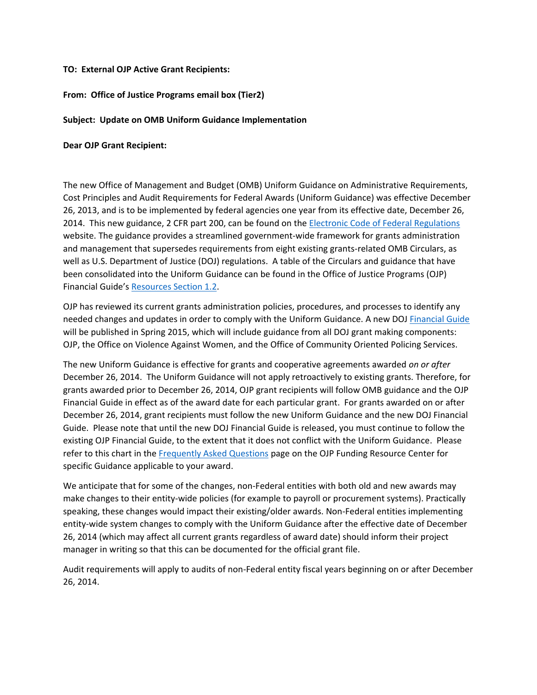## **TO: External OJP Active Grant Recipients:**

## **From: Office of Justice Programs email box (Tier2)**

## **Subject: Update on OMB Uniform Guidance Implementation**

## **Dear OJP Grant Recipient:**

The new Office of Management and Budget (OMB) Uniform Guidance on Administrative Requirements, Cost Principles and Audit Requirements for Federal Awards (Uniform Guidance) was effective December 26, 2013, and is to be implemented by federal agencies one year from its effective date, December 26, 2014. This new guidance, 2 CFR part 200, can be found on th[e Electronic Code of Federal Regulations](http://www.ecfr.gov/cgi-bin/text-idx?tpl=/ecfrbrowse/Title02/2cfr200_main_02.tpl) website. The guidance provides a streamlined government-wide framework for grants administration and management that supersedes requirements from eight existing grants-related OMB Circulars, as well as U.S. Department of Justice (DOJ) regulations. A table of the Circulars and guidance that have been consolidated into the Uniform Guidance can be found in the Office of Justice Programs (OJP) Financial Guide's [Resources Section 1.2.](http://ojp.gov/financialguide/GeneralInformation/chapter2page2.htm)

OJP has reviewed its current grants administration policies, procedures, and processes to identify any needed changes and updates in order to comply with the Uniform Guidance. A new DOJ [Financial Guide](http://ojp.go/finanicalguide) will be published in Spring 2015, which will include guidance from all DOJ grant making components: OJP, the Office on Violence Against Women, and the Office of Community Oriented Policing Services.

The new Uniform Guidance is effective for grants and cooperative agreements awarded *on or after* December 26, 2014. The Uniform Guidance will not apply retroactively to existing grants. Therefore, for grants awarded prior to December 26, 2014, OJP grant recipients will follow OMB guidance and the OJP Financial Guide in effect as of the award date for each particular grant. For grants awarded on or after December 26, 2014, grant recipients must follow the new Uniform Guidance and the new DOJ Financial Guide. Please note that until the new DOJ Financial Guide is released, you must continue to follow the existing OJP Financial Guide, to the extent that it does not conflict with the Uniform Guidance. Please refer to this chart in the [Frequently Asked Questions](http://www.ojp.gov/funding/UniformGuidanceFAQ.htm) page on the OJP Funding Resource Center for specific Guidance applicable to your award.

We anticipate that for some of the changes, non-Federal entities with both old and new awards may make changes to their entity-wide policies (for example to payroll or procurement systems). Practically speaking, these changes would impact their existing/older awards. Non-Federal entities implementing entity-wide system changes to comply with the Uniform Guidance after the effective date of December 26, 2014 (which may affect all current grants regardless of award date) should inform their project manager in writing so that this can be documented for the official grant file.

Audit requirements will apply to audits of non-Federal entity fiscal years beginning on or after December 26, 2014.